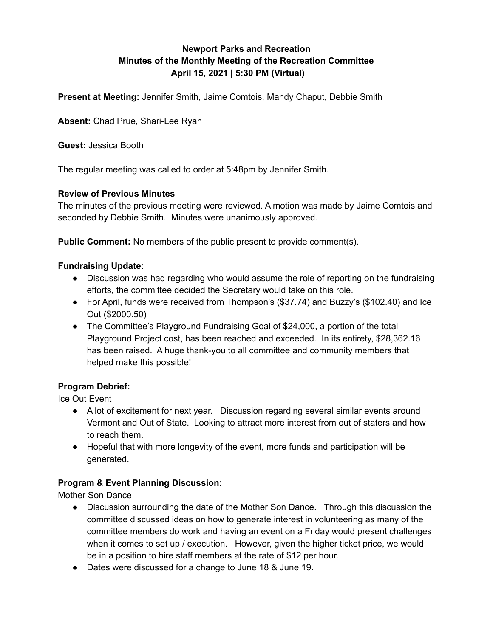# **Newport Parks and Recreation Minutes of the Monthly Meeting of the Recreation Committee April 15, 2021 | 5:30 PM (Virtual)**

**Present at Meeting:** Jennifer Smith, Jaime Comtois, Mandy Chaput, Debbie Smith

**Absent:** Chad Prue, Shari-Lee Ryan

**Guest:** Jessica Booth

The regular meeting was called to order at 5:48pm by Jennifer Smith.

#### **Review of Previous Minutes**

The minutes of the previous meeting were reviewed. A motion was made by Jaime Comtois and seconded by Debbie Smith. Minutes were unanimously approved.

**Public Comment:** No members of the public present to provide comment(s).

#### **Fundraising Update:**

- Discussion was had regarding who would assume the role of reporting on the fundraising efforts, the committee decided the Secretary would take on this role.
- For April, funds were received from Thompson's (\$37.74) and Buzzy's (\$102.40) and Ice Out (\$2000.50)
- The Committee's Playground Fundraising Goal of \$24,000, a portion of the total Playground Project cost, has been reached and exceeded. In its entirety, \$28,362.16 has been raised. A huge thank-you to all committee and community members that helped make this possible!

### **Program Debrief:**

Ice Out Event

- A lot of excitement for next year. Discussion regarding several similar events around Vermont and Out of State. Looking to attract more interest from out of staters and how to reach them.
- Hopeful that with more longevity of the event, more funds and participation will be generated.

### **Program & Event Planning Discussion:**

Mother Son Dance

- Discussion surrounding the date of the Mother Son Dance. Through this discussion the committee discussed ideas on how to generate interest in volunteering as many of the committee members do work and having an event on a Friday would present challenges when it comes to set up / execution. However, given the higher ticket price, we would be in a position to hire staff members at the rate of \$12 per hour.
- Dates were discussed for a change to June 18 & June 19.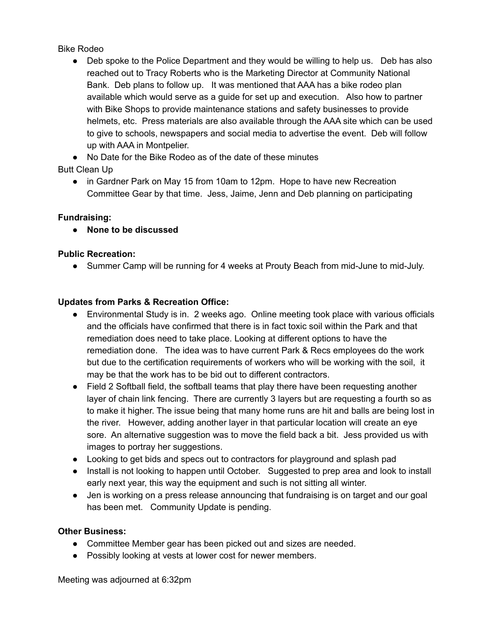Bike Rodeo

• Deb spoke to the Police Department and they would be willing to help us. Deb has also reached out to Tracy Roberts who is the Marketing Director at Community National Bank. Deb plans to follow up. It was mentioned that AAA has a bike rodeo plan available which would serve as a guide for set up and execution. Also how to partner with Bike Shops to provide maintenance stations and safety businesses to provide helmets, etc. Press materials are also available through the AAA site which can be used to give to schools, newspapers and social media to advertise the event. Deb will follow up with AAA in Montpelier.

● No Date for the Bike Rodeo as of the date of these minutes

Butt Clean Up

● in Gardner Park on May 15 from 10am to 12pm. Hope to have new Recreation Committee Gear by that time. Jess, Jaime, Jenn and Deb planning on participating

## **Fundraising:**

● **None to be discussed**

## **Public Recreation:**

● Summer Camp will be running for 4 weeks at Prouty Beach from mid-June to mid-July.

## **Updates from Parks & Recreation Office:**

- Environmental Study is in. 2 weeks ago. Online meeting took place with various officials and the officials have confirmed that there is in fact toxic soil within the Park and that remediation does need to take place. Looking at different options to have the remediation done. The idea was to have current Park & Recs employees do the work but due to the certification requirements of workers who will be working with the soil, it may be that the work has to be bid out to different contractors.
- Field 2 Softball field, the softball teams that play there have been requesting another layer of chain link fencing. There are currently 3 layers but are requesting a fourth so as to make it higher. The issue being that many home runs are hit and balls are being lost in the river. However, adding another layer in that particular location will create an eye sore. An alternative suggestion was to move the field back a bit. Jess provided us with images to portray her suggestions.
- Looking to get bids and specs out to contractors for playground and splash pad
- Install is not looking to happen until October. Suggested to prep area and look to install early next year, this way the equipment and such is not sitting all winter.
- Jen is working on a press release announcing that fundraising is on target and our goal has been met. Community Update is pending.

### **Other Business:**

- Committee Member gear has been picked out and sizes are needed.
- Possibly looking at vests at lower cost for newer members.

Meeting was adjourned at 6:32pm